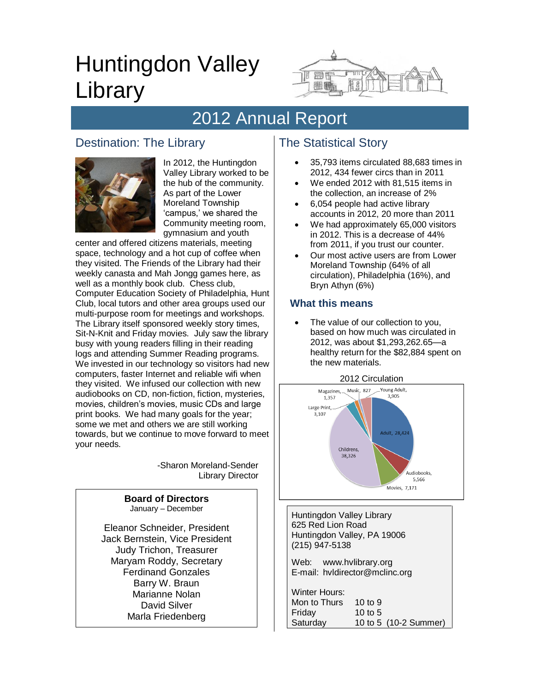# Huntingdon Valley Library



# 2012 Annual Report

# Destination: The Library



In 2012, the Huntingdon Valley Library worked to be the hub of the community. As part of the Lower Moreland Township 'campus,' we shared the Community meeting room, gymnasium and youth

center and offered citizens materials, meeting space, technology and a hot cup of coffee when they visited. The Friends of the Library had their weekly canasta and Mah Jongg games here, as well as a monthly book club. Chess club, Computer Education Society of Philadelphia, Hunt Club, local tutors and other area groups used our multi-purpose room for meetings and workshops. The Library itself sponsored weekly story times, Sit-N-Knit and Friday movies. July saw the library busy with young readers filling in their reading logs and attending Summer Reading programs. We invested in our technology so visitors had new computers, faster Internet and reliable wifi when they visited. We infused our collection with new audiobooks on CD, non-fiction, fiction, mysteries, movies, children's movies, music CDs and large print books. We had many goals for the year; some we met and others we are still working towards, but we continue to move forward to meet your needs.

> -Sharon Moreland-Sender Library Director

| <b>Board of Directors</b>      |  |
|--------------------------------|--|
| January - December             |  |
| Eleanor Schneider, President   |  |
| Jack Bernstein, Vice President |  |
| <b>Judy Trichon, Treasurer</b> |  |
| Maryam Roddy, Secretary        |  |
| <b>Ferdinand Gonzales</b>      |  |
| Barry W. Braun                 |  |
| Marianne Nolan                 |  |
| David Silver                   |  |
| Marla Friedenberg              |  |

# The Statistical Story

- 35,793 items circulated 88,683 times in 2012, 434 fewer circs than in 2011
- We ended 2012 with 81,515 items in the collection, an increase of 2%
- 6,054 people had active library accounts in 2012, 20 more than 2011
- We had approximately 65,000 visitors in 2012. This is a decrease of 44% from 2011, if you trust our counter.
- Our most active users are from Lower Moreland Township (64% of all circulation), Philadelphia (16%), and Bryn Athyn (6%)

#### **What this means**

 The value of our collection to you, based on how much was circulated in 2012, was about \$1,293,262.65—a healthy return for the \$82,884 spent on the new materials.





Huntingdon Valley Library 625 Red Lion Road Huntingdon Valley, PA 19006 (215) 947-5138 Web: www.hvlibrary.org E-mail: hvldirector@mclinc.org

| Winter Hours: |           |                       |
|---------------|-----------|-----------------------|
| Mon to Thurs  | 10 to $9$ |                       |
| Friday        | 10 to 5   |                       |
| Saturday      |           | 10 to 5 (10-2 Summer) |